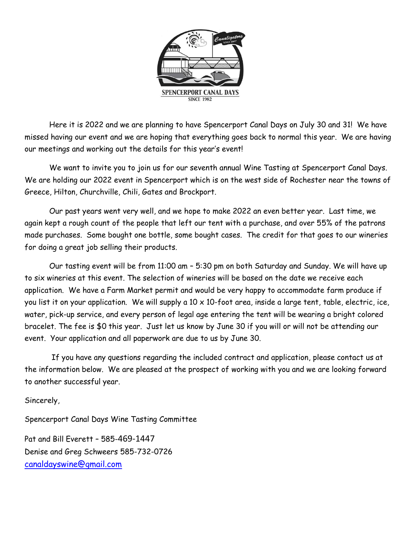

Here it is 2022 and we are planning to have Spencerport Canal Days on July 30 and 31! We have missed having our event and we are hoping that everything goes back to normal this year. We are having our meetings and working out the details for this year's event!

We want to invite you to join us for our seventh annual Wine Tasting at Spencerport Canal Days. We are holding our 2022 event in Spencerport which is on the west side of Rochester near the towns of Greece, Hilton, Churchville, Chili, Gates and Brockport.

Our past years went very well, and we hope to make 2022 an even better year. Last time, we again kept a rough count of the people that left our tent with a purchase, and over 55% of the patrons made purchases. Some bought one bottle, some bought cases. The credit for that goes to our wineries for doing a great job selling their products.

Our tasting event will be from 11:00 am – 5:30 pm on both Saturday and Sunday. We will have up to six wineries at this event. The selection of wineries will be based on the date we receive each application. We have a Farm Market permit and would be very happy to accommodate farm produce if you list it on your application. We will supply a 10 x 10-foot area, inside a large tent, table, electric, ice, water, pick-up service, and every person of legal age entering the tent will be wearing a bright colored bracelet. The fee is \$0 this year. Just let us know by June 30 if you will or will not be attending our event. Your application and all paperwork are due to us by June 30.

If you have any questions regarding the included contract and application, please contact us at the information below. We are pleased at the prospect of working with you and we are looking forward to another successful year.

Sincerely,

Spencerport Canal Days Wine Tasting Committee

Pat and Bill Everett – 585-469-1447 Denise and Greg Schweers 585-732-0726 [canaldayswine@gmail.com](mailto:canaldayswine@gmail.com)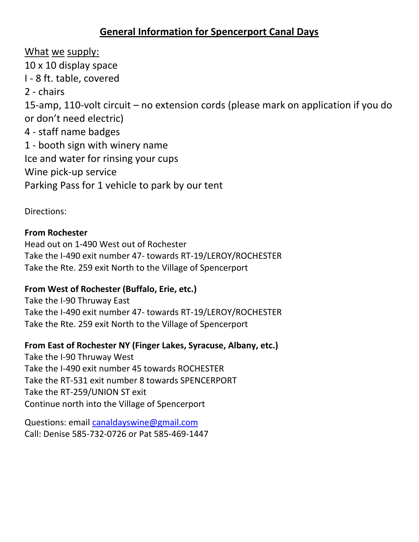# **General Information for Spencerport Canal Days**

What we supply: 10 x 10 display space I - 8 ft. table, covered 2 - chairs 15-amp, 110-volt circuit – no extension cords (please mark on application if you do or don't need electric) 4 - staff name badges 1 - booth sign with winery name Ice and water for rinsing your cups Wine pick-up service Parking Pass for 1 vehicle to park by our tent

Directions:

#### **From Rochester**

Head out on 1-490 West out of Rochester Take the I-490 exit number 47- towards RT-19/LEROY/ROCHESTER Take the Rte. 259 exit North to the Village of Spencerport

## **From West of Rochester (Buffalo, Erie, etc.)**

Take the I-90 Thruway East Take the I-490 exit number 47- towards RT-19/LEROY/ROCHESTER Take the Rte. 259 exit North to the Village of Spencerport

## **From East of Rochester NY (Finger Lakes, Syracuse, Albany, etc.)**

Take the I-90 Thruway West Take the I-490 exit number 45 towards ROCHESTER Take the RT-531 exit number 8 towards SPENCERPORT Take the RT-259/UNION ST exit Continue north into the Village of Spencerport

Questions: email [canaldayswine@gmail.com](mailto:canaldayswine@gmail.com) Call: Denise 585-732-0726 or Pat 585-469-1447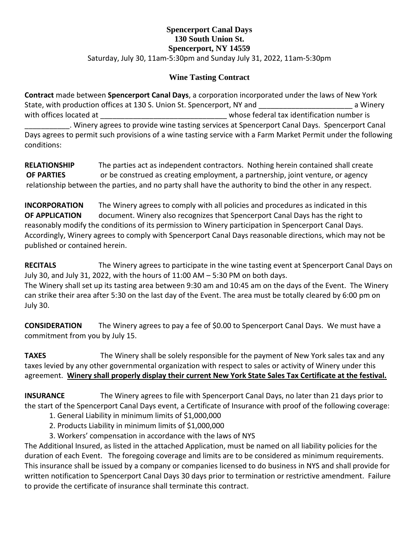#### **Spencerport Canal Days 130 South Union St. Spencerport, NY 14559** Saturday, July 30, 11am-5:30pm and Sunday July 31, 2022, 11am-5:30pm

#### **Wine Tasting Contract**

**Contract** made between **Spencerport Canal Days**, a corporation incorporated under the laws of New York State, with production offices at 130 S. Union St. Spencerport, NY and **Example 2** a Winery with offices located at  $\Box$ \_\_\_\_\_\_\_\_\_\_\_. Winery agrees to provide wine tasting services at Spencerport Canal Days. Spencerport Canal Days agrees to permit such provisions of a wine tasting service with a Farm Market Permit under the following conditions:

**RELATIONSHIP** The parties act as independent contractors. Nothing herein contained shall create **OF PARTIES** or be construed as creating employment, a partnership, joint venture, or agency relationship between the parties, and no party shall have the authority to bind the other in any respect.

**INCORPORATION** The Winery agrees to comply with all policies and procedures as indicated in this **OF APPLICATION** document. Winery also recognizes that Spencerport Canal Days has the right to reasonably modify the conditions of its permission to Winery participation in Spencerport Canal Days. Accordingly, Winery agrees to comply with Spencerport Canal Days reasonable directions, which may not be published or contained herein.

**RECITALS** The Winery agrees to participate in the wine tasting event at Spencerport Canal Days on July 30, and July 31, 2022, with the hours of 11:00 AM – 5:30 PM on both days.

The Winery shall set up its tasting area between 9:30 am and 10:45 am on the days of the Event. The Winery can strike their area after 5:30 on the last day of the Event. The area must be totally cleared by 6:00 pm on July 30.

**CONSIDERATION** The Winery agrees to pay a fee of \$0.00 to Spencerport Canal Days. We must have a commitment from you by July 15.

**TAXES** The Winery shall be solely responsible for the payment of New York sales tax and any taxes levied by any other governmental organization with respect to sales or activity of Winery under this agreement. **Winery shall properly display their current New York State Sales Tax Certificate at the festival.**

**INSURANCE** The Winery agrees to file with Spencerport Canal Days, no later than 21 days prior to the start of the Spencerport Canal Days event, a Certificate of Insurance with proof of the following coverage:

- 1. General Liability in minimum limits of \$1,000,000
- 2. Products Liability in minimum limits of \$1,000,000
- 3. Workers' compensation in accordance with the laws of NYS

The Additional Insured, as listed in the attached Application, must be named on all liability policies for the duration of each Event. The foregoing coverage and limits are to be considered as minimum requirements. This insurance shall be issued by a company or companies licensed to do business in NYS and shall provide for written notification to Spencerport Canal Days 30 days prior to termination or restrictive amendment. Failure to provide the certificate of insurance shall terminate this contract.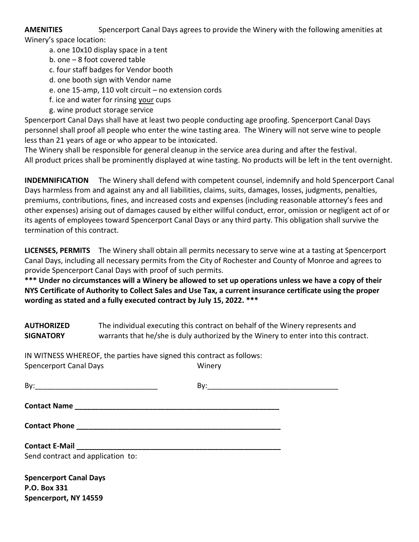**AMENITIES** Spencerport Canal Days agrees to provide the Winery with the following amenities at Winery's space location:

- a. one 10x10 display space in a tent
- b. one 8 foot covered table
- c. four staff badges for Vendor booth
- d. one booth sign with Vendor name
- e. one 15-amp, 110 volt circuit no extension cords
- f. ice and water for rinsing your cups
- g. wine product storage service

Spencerport Canal Days shall have at least two people conducting age proofing. Spencerport Canal Days personnel shall proof all people who enter the wine tasting area. The Winery will not serve wine to people less than 21 years of age or who appear to be intoxicated.

The Winery shall be responsible for general cleanup in the service area during and after the festival. All product prices shall be prominently displayed at wine tasting. No products will be left in the tent overnight.

**INDEMNIFICATION** The Winery shall defend with competent counsel, indemnify and hold Spencerport Canal Days harmless from and against any and all liabilities, claims, suits, damages, losses, judgments, penalties, premiums, contributions, fines, and increased costs and expenses (including reasonable attorney's fees and other expenses) arising out of damages caused by either willful conduct, error, omission or negligent act of or its agents of employees toward Spencerport Canal Days or any third party. This obligation shall survive the termination of this contract.

**LICENSES, PERMITS** The Winery shall obtain all permits necessary to serve wine at a tasting at Spencerport Canal Days, including all necessary permits from the City of Rochester and County of Monroe and agrees to provide Spencerport Canal Days with proof of such permits.

**\*\*\* Under no circumstances will a Winery be allowed to set up operations unless we have a copy of their NYS Certificate of Authority to Collect Sales and Use Tax, a current insurance certificate using the proper wording as stated and a fully executed contract by July 15, 2022. \*\*\***

**AUTHORIZED** The individual executing this contract on behalf of the Winery represents and **SIGNATORY** warrants that he/she is duly authorized by the Winery to enter into this contract.

IN WITNESS WHEREOF, the parties have signed this contract as follows: Spencerport Canal Days Ninery

| Send contract and application to: |  |
|-----------------------------------|--|
|                                   |  |
| <b>Spencerport Canal Days</b>     |  |
| P.O. Box 331                      |  |

**Spencerport, NY 14559**